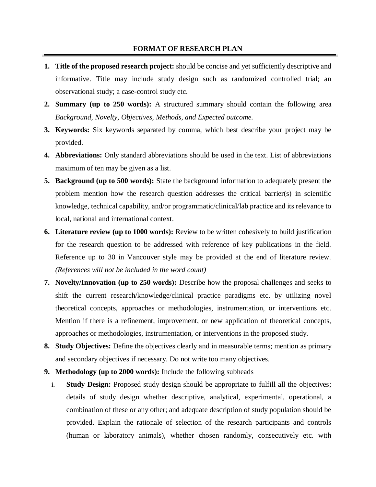## **FORMAT OF RESEARCH PLAN**

- **1. Title of the proposed research project:** should be concise and yet sufficiently descriptive and informative. Title may include study design such as randomized controlled trial; an observational study; a case-control study etc.
- **2. Summary (up to 250 words):** A structured summary should contain the following area *Background, Novelty, Objectives, Methods, and Expected outcome.*
- **3. Keywords:** Six keywords separated by comma, which best describe your project may be provided.
- **4. Abbreviations:** Only standard abbreviations should be used in the text. List of abbreviations maximum of ten may be given as a list.
- **5. Background (up to 500 words):** State the background information to adequately present the problem mention how the research question addresses the critical barrier(s) in scientific knowledge, technical capability, and/or programmatic/clinical/lab practice and its relevance to local, national and international context.
- **6. Literature review (up to 1000 words):** Review to be written cohesively to build justification for the research question to be addressed with reference of key publications in the field. Reference up to 30 in Vancouver style may be provided at the end of literature review. *(References will not be included in the word count)*
- **7. Novelty/Innovation (up to 250 words):** Describe how the proposal challenges and seeks to shift the current research/knowledge/clinical practice paradigms etc. by utilizing novel theoretical concepts, approaches or methodologies, instrumentation, or interventions etc. Mention if there is a refinement, improvement, or new application of theoretical concepts, approaches or methodologies, instrumentation, or interventions in the proposed study.
- **8. Study Objectives:** Define the objectives clearly and in measurable terms; mention as primary and secondary objectives if necessary. Do not write too many objectives.
- **9. Methodology (up to 2000 words):** Include the following subheads
	- i. **Study Design:** Proposed study design should be appropriate to fulfill all the objectives; details of study design whether descriptive, analytical, experimental, operational, a combination of these or any other; and adequate description of study population should be provided. Explain the rationale of selection of the research participants and controls (human or laboratory animals), whether chosen randomly, consecutively etc. with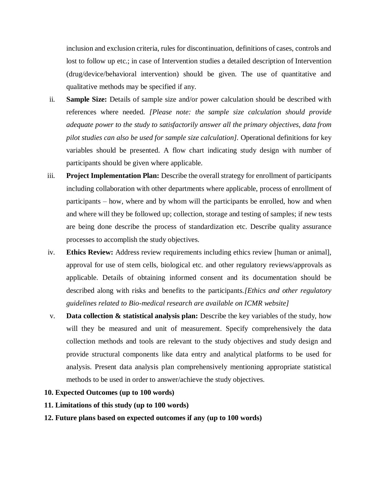inclusion and exclusion criteria, rules for discontinuation, definitions of cases, controls and lost to follow up etc.; in case of Intervention studies a detailed description of Intervention (drug/device/behavioral intervention) should be given. The use of quantitative and qualitative methods may be specified if any.

- ii. **Sample Size:** Details of sample size and/or power calculation should be described with references where needed*. [Please note: the sample size calculation should provide adequate power to the study to satisfactorily answer all the primary objectives, data from pilot studies can also be used for sample size calculation].* Operational definitions for key variables should be presented. A flow chart indicating study design with number of participants should be given where applicable.
- iii. **Project Implementation Plan:** Describe the overall strategy for enrollment of participants including collaboration with other departments where applicable, process of enrollment of participants – how, where and by whom will the participants be enrolled, how and when and where will they be followed up; collection, storage and testing of samples; if new tests are being done describe the process of standardization etc. Describe quality assurance processes to accomplish the study objectives.
- iv. **Ethics Review:** Address review requirements including ethics review [human or animal], approval for use of stem cells, biological etc. and other regulatory reviews/approvals as applicable. Details of obtaining informed consent and its documentation should be described along with risks and benefits to the participants.*[Ethics and other regulatory guidelines related to Bio-medical research are available on ICMR website]*
- v. **Data collection & statistical analysis plan:** Describe the key variables of the study, how will they be measured and unit of measurement. Specify comprehensively the data collection methods and tools are relevant to the study objectives and study design and provide structural components like data entry and analytical platforms to be used for analysis. Present data analysis plan comprehensively mentioning appropriate statistical methods to be used in order to answer/achieve the study objectives.

# **10. Expected Outcomes (up to 100 words)**

# **11. Limitations of this study (up to 100 words)**

# **12. Future plans based on expected outcomes if any (up to 100 words)**